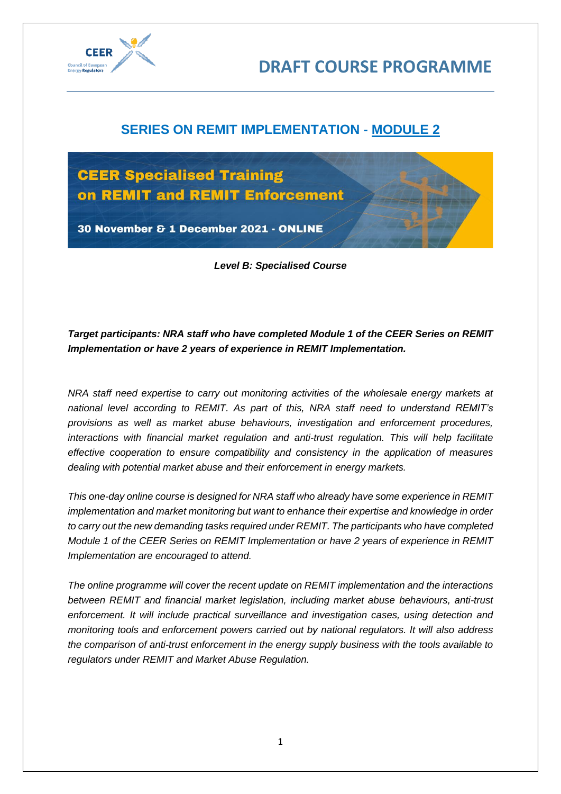

# **SERIES ON REMIT IMPLEMENTATION - MODULE 2**



*Level B: Specialised Course*

# *Target participants: NRA staff who have completed Module 1 of the CEER Series on REMIT Implementation or have 2 years of experience in REMIT Implementation.*

*NRA staff need expertise to carry out monitoring activities of the wholesale energy markets at national level according to REMIT. As part of this, NRA staff need to understand REMIT's provisions as well as market abuse behaviours, investigation and enforcement procedures, interactions with financial market regulation and anti-trust regulation. This will help facilitate effective cooperation to ensure compatibility and consistency in the application of measures dealing with potential market abuse and their enforcement in energy markets.* 

*This one-day online course is designed for NRA staff who already have some experience in REMIT implementation and market monitoring but want to enhance their expertise and knowledge in order to carry out the new demanding tasks required under REMIT. The participants who have completed Module 1 of the CEER Series on REMIT Implementation or have 2 years of experience in REMIT Implementation are encouraged to attend.* 

*The online programme will cover the recent update on REMIT implementation and the interactions between REMIT and financial market legislation, including market abuse behaviours, anti-trust enforcement. It will include practical surveillance and investigation cases, using detection and monitoring tools and enforcement powers carried out by national regulators. It will also address the comparison of anti-trust enforcement in the energy supply business with the tools available to regulators under REMIT and Market Abuse Regulation.*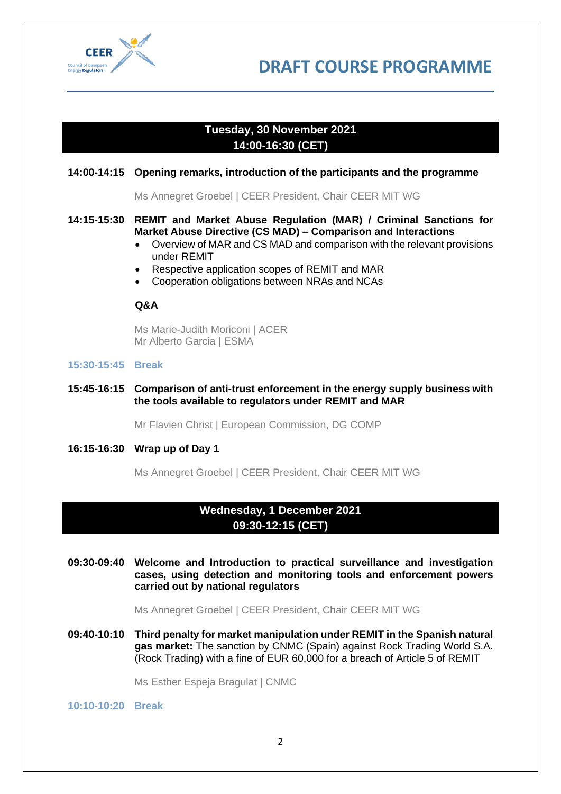

**DRAFT COURSE PROGRAMME**

# **Tuesday, 30 November 2021 14:00-16:30 (CET)**

#### **14:00-14:15 Opening remarks, introduction of the participants and the programme**

Ms Annegret Groebel | CEER President, Chair CEER MIT WG

### **14:15-15:30 REMIT and Market Abuse Regulation (MAR) / Criminal Sanctions for Market Abuse Directive (CS MAD) – Comparison and Interactions**

- Overview of MAR and CS MAD and comparison with the relevant provisions under REMIT
- Respective application scopes of REMIT and MAR
- Cooperation obligations between NRAs and NCAs

### **Q&A**

Ms Marie-Judith Moriconi | ACER Mr Alberto Garcia | ESMA

#### **15:30-15:45 Break**

#### **15:45-16:15 Comparison of anti-trust enforcement in the energy supply business with the tools available to regulators under REMIT and MAR**

Mr Flavien Christ | European Commission, DG COMP

#### **16:15-16:30 Wrap up of Day 1**

Ms Annegret Groebel | CEER President, Chair CEER MIT WG

## **Wednesday, 1 December 2021 09:30-12:15 (CET)**

**09:30-09:40 Welcome and Introduction to practical surveillance and investigation cases, using detection and monitoring tools and enforcement powers carried out by national regulators**

Ms Annegret Groebel | CEER President, Chair CEER MIT WG

**09:40-10:10 Third penalty for market manipulation under REMIT in the Spanish natural gas market:** The sanction by CNMC (Spain) against Rock Trading World S.A. (Rock Trading) with a fine of EUR 60,000 for a breach of Article 5 of REMIT

Ms Esther Espeja Bragulat | CNMC

**10:10-10:20 Break**